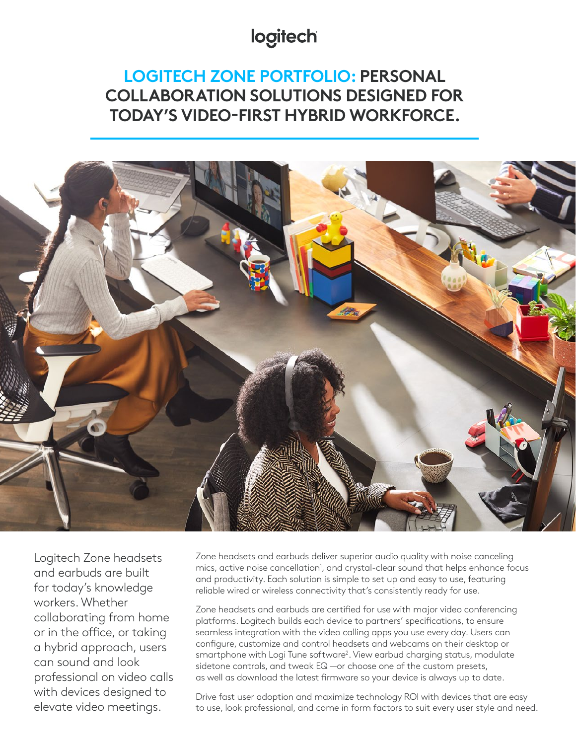# logitech

# **LOGITECH ZONE PORTFOLIO: PERSONAL COLLABORATION SOLUTIONS DESIGNED FOR TODAY'S VIDEO-FIRST HYBRID WORKFORCE.**



Logitech Zone headsets and earbuds are built for today's knowledge workers. Whether collaborating from home or in the office, or taking a hybrid approach, users can sound and look professional on video calls with devices designed to elevate video meetings.

Zone headsets and earbuds deliver superior audio quality with noise canceling mics, active noise cancellation<sup>1</sup>, and crystal-clear sound that helps enhance focus and productivity. Each solution is simple to set up and easy to use, featuring reliable wired or wireless connectivity that's consistently ready for use.

Zone headsets and earbuds are certified for use with major video conferencing platforms. Logitech builds each device to partners' specifications, to ensure seamless integration with the video calling apps you use every day. Users can configure, customize and control headsets and webcams on their desktop or smartphone with Logi Tune software<sup>2</sup>. View earbud charging status, modulate sidetone controls, and tweak EQ —or choose one of the custom presets, as well as download the latest firmware so your device is always up to date.

Drive fast user adoption and maximize technology ROI with devices that are easy to use, look professional, and come in form factors to suit every user style and need.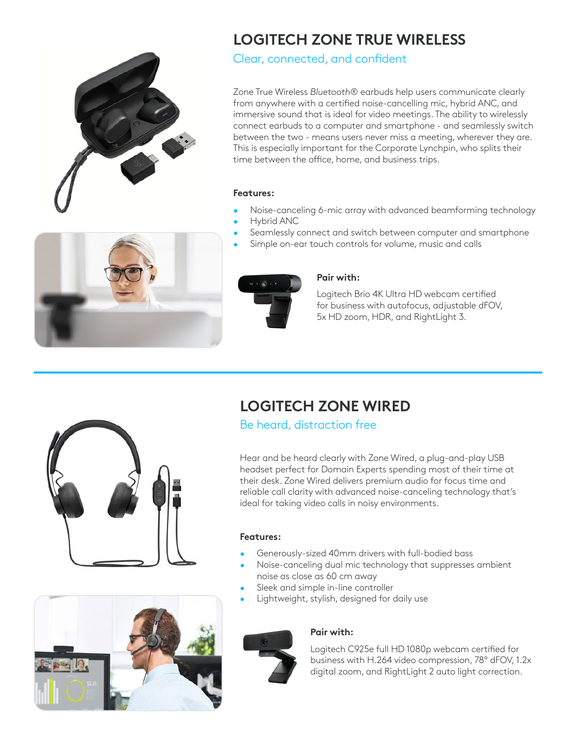

# **LOGITECH ZONE TRUE WIRELESS**

Clear, connected, and confident

Zone True Wireless *Bluetooth*® earbuds help users communicate clearly from anywhere with a certified noise-cancelling mic, hybrid ANC, and immersive sound that is ideal for video meetings. The ability to wirelessly connect earbuds to a computer and smartphone - and seamlessly switch between the two - means users never miss a meeting, wherever they are. This is especially important for the Corporate Lynchpin, who splits their time between the office, home, and business trips.

## **Features:**

- Noise-canceling 6-mic array with advanced beamforming technology • Hybrid ANC
- Seamlessly connect and switch between computer and smartphone
	- Simple on-ear touch controls for volume, music and calls



## **Pair with:**

Logitech Brio 4K Ultra HD webcam certified for business with autofocus, adjustable dFOV, 5x HD zoom, HDR, and RightLight 3.





# **LOGITECH ZONE WIRED**

Be heard, distraction free

Hear and be heard clearly with Zone Wired, a plug-and-play USB headset perfect for Domain Experts spending most of their time at their desk. Zone Wired delivers premium audio for focus time and reliable call clarity with advanced noise-canceling technology that's ideal for taking video calls in noisy environments.

### **Features:**

- Generously-sized 40mm drivers with full-bodied bass
- Noise-canceling dual mic technology that suppresses ambient noise as close as 60 cm away
- Sleek and simple in-line controller
- Lightweight, stylish, designed for daily use



## **Pair with:**

Logitech C925e full HD 1080p webcam certified for business with H.264 video compression, 78° dFOV, 1.2x digital zoom, and RightLight 2 auto light correction.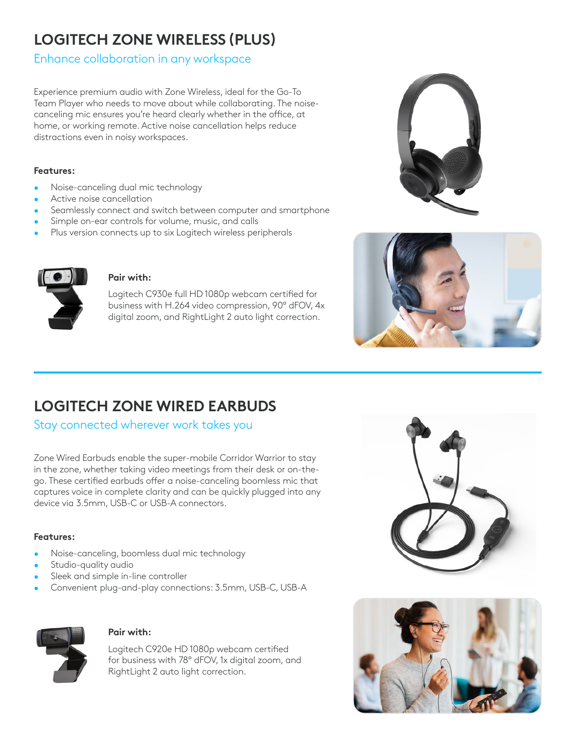# **LOGITECH ZONE WIRELESS (PLUS)**

# Enhance collaboration in any workspace

Experience premium audio with Zone Wireless, ideal for the Go-To Team Player who needs to move about while collaborating. The noisecanceling mic ensures you're heard clearly whether in the office, at home, or working remote. Active noise cancellation helps reduce distractions even in noisy workspaces.

## **Features:**

- Noise-canceling dual mic technology
- Active noise cancellation
- Seamlessly connect and switch between computer and smartphone
- Simple on-ear controls for volume, music, and calls
- Plus version connects up to six Logitech wireless peripherals



## **Pair with:**

Logitech C930e full HD 1080p webcam certified for business with H.264 video compression, 90° dFOV, 4x digital zoom, and RightLight 2 auto light correction.





# **LOGITECH ZONE WIRED EARBUDS**

## Stay connected wherever work takes you

Zone Wired Earbuds enable the super-mobile Corridor Warrior to stay in the zone, whether taking video meetings from their desk or on-thego. These certified earbuds offer a noise-canceling boomless mic that captures voice in complete clarity and can be quickly plugged into any device via 3.5mm, USB-C or USB-A connectors.

## **Features:**

- Noise-canceling, boomless dual mic technology
- Studio-quality audio
- Sleek and simple in-line controller
- Convenient plug-and-play connections: 3.5mm, USB-C, USB-A



## **Pair with:**

Logitech C920e HD 1080p webcam certified for business with 78° dFOV, 1x digital zoom, and RightLight 2 auto light correction.